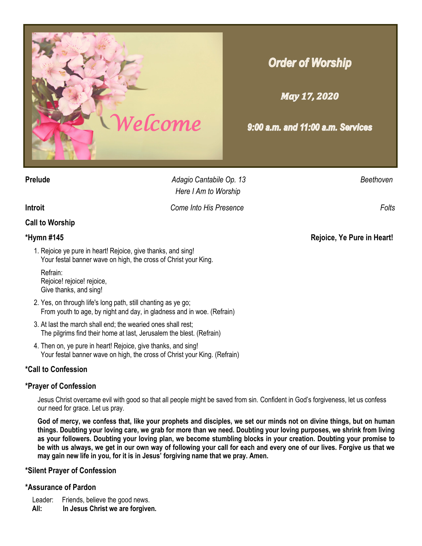

# **Order of Worship**

**May 17, 2020** 

9:00 a.m. and 11:00 a.m. Services

**Prelude** *Adagio Cantabile Op. 13 Beethoven Here I Am to Worship*

**Introit** *Come Into His Presence Folts* 

# **Call to Worship**

- 1. Rejoice ye pure in heart! Rejoice, give thanks, and sing! Your festal banner wave on high, the cross of Christ your King.
	- Refrain: Rejoice! rejoice! rejoice, Give thanks, and sing!
- 2. Yes, on through life's long path, still chanting as ye go; From youth to age, by night and day, in gladness and in woe. (Refrain)
- 3. At last the march shall end; the wearied ones shall rest; The pilgrims find their home at last, Jerusalem the blest. (Refrain)
- 4. Then on, ye pure in heart! Rejoice, give thanks, and sing! Your festal banner wave on high, the cross of Christ your King. (Refrain)

# **\*Call to Confession**

# **\*Prayer of Confession**

Jesus Christ overcame evil with good so that all people might be saved from sin. Confident in God's forgiveness, let us confess our need for grace. Let us pray.

**God of mercy, we confess that, like your prophets and disciples, we set our minds not on divine things, but on human things. Doubting your loving care, we grab for more than we need. Doubting your loving purposes, we shrink from living as your followers. Doubting your loving plan, we become stumbling blocks in your creation. Doubting your promise to be with us always, we get in our own way of following your call for each and every one of our lives. Forgive us that we may gain new life in you, for it is in Jesus' forgiving name that we pray. Amen.**

# **\*Silent Prayer of Confession**

# **\*Assurance of Pardon**

- Leader: Friends, believe the good news.
- **All: In Jesus Christ we are forgiven.**

**\*Hymn #145 Rejoice, Ye Pure in Heart!**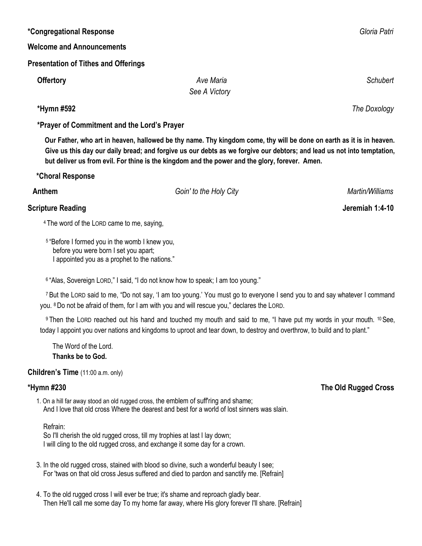### **\*Congregational Response** *Gloria Patri*

### **Welcome and Announcements**

### **Presentation of Tithes and Offerings**

| <b>Offertory</b> | Ave Maria     | Schubert |
|------------------|---------------|----------|
|                  | See A Victory |          |

 **\*Prayer of Commitment and the Lord's Prayer**

 **Our Father, who art in heaven, hallowed be thy name. Thy kingdom come, thy will be done on earth as it is in heaven. Give us this day our daily bread; and forgive us our debts as we forgive our debtors; and lead us not into temptation, but deliver us from evil. For thine is the kingdom and the power and the glory, forever. Amen.** 

 **\*Choral Response**

**Anthem** *Goin' to the Holy City Martin/Williams*

# **Scripture Reading 1:4-10**

<sup>4</sup> The word of the LORD came to me, saying,

5 "Before I formed you in the womb I knew you, before you were born I set you apart; I appointed you as a prophet to the nations."

6 "Alas, Sovereign LORD," I said, "I do not know how to speak; I am too young."

<sup>7</sup> But the LORD said to me, "Do not say, 'I am too young.' You must go to everyone I send you to and say whatever I command you. <sup>8</sup> Do not be afraid of them, for I am with you and will rescue you," declares the LORD.

9 Then the LORD reached out his hand and touched my mouth and said to me, "I have put my words in your mouth. <sup>10</sup> See, today I appoint you over nations and kingdoms to uproot and tear down, to destroy and overthrow, to build and to plant."

 The Word of the Lord. **Thanks be to God.**

### **Children's Time** (11:00 a.m. only)

1. On a hill far away stood an old rugged cross, the emblem of suff'ring and shame; And I love that old cross Where the dearest and best for a world of lost sinners was slain.

 Refrain: So I'll cherish the old rugged cross, till my trophies at last I lay down;

I will cling to the old rugged cross, and exchange it some day for a crown.

- 3. In the old rugged cross, stained with blood so divine, such a wonderful beauty I see; For 'twas on that old cross Jesus suffered and died to pardon and sanctify me. [Refrain]
- 4. To the old rugged cross I will ever be true; it's shame and reproach gladly bear. Then He'll call me some day To my home far away, where His glory forever I'll share. [Refrain]

 **\*Hymn #592** *The Doxology*

# **\*Hymn #230 The Old Rugged Cross**